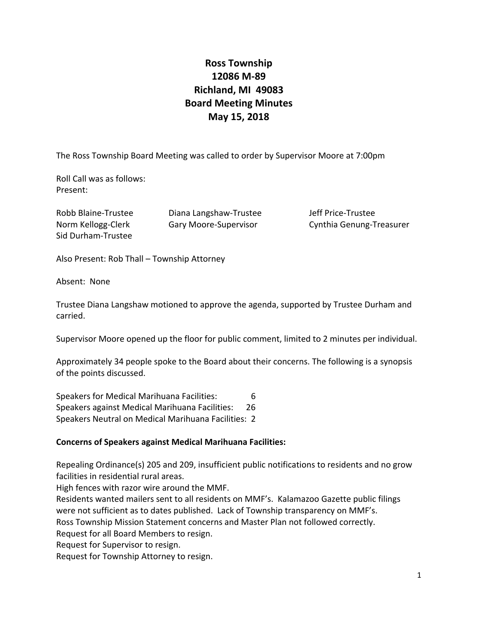# **Ross Township 12086 M‐89 Richland, MI 49083 Board Meeting Minutes May 15, 2018**

The Ross Township Board Meeting was called to order by Supervisor Moore at 7:00pm

Roll Call was as follows: Present:

Sid Durham‐Trustee

Robb Blaine‐Trustee Diana Langshaw‐Trustee Jeff Price‐Trustee

Norm Kellogg‐Clerk Gary Moore‐Supervisor Cynthia Genung‐Treasurer

Also Present: Rob Thall – Township Attorney

Absent: None

Trustee Diana Langshaw motioned to approve the agenda, supported by Trustee Durham and carried.

Supervisor Moore opened up the floor for public comment, limited to 2 minutes per individual.

Approximately 34 people spoke to the Board about their concerns. The following is a synopsis of the points discussed.

Speakers for Medical Marihuana Facilities: 6 Speakers against Medical Marihuana Facilities: 26 Speakers Neutral on Medical Marihuana Facilities: 2

# **Concerns of Speakers against Medical Marihuana Facilities:**

Repealing Ordinance(s) 205 and 209, insufficient public notifications to residents and no grow facilities in residential rural areas.

High fences with razor wire around the MMF.

Residents wanted mailers sent to all residents on MMF's. Kalamazoo Gazette public filings were not sufficient as to dates published. Lack of Township transparency on MMF's.

Ross Township Mission Statement concerns and Master Plan not followed correctly.

Request for all Board Members to resign.

Request for Supervisor to resign.

Request for Township Attorney to resign.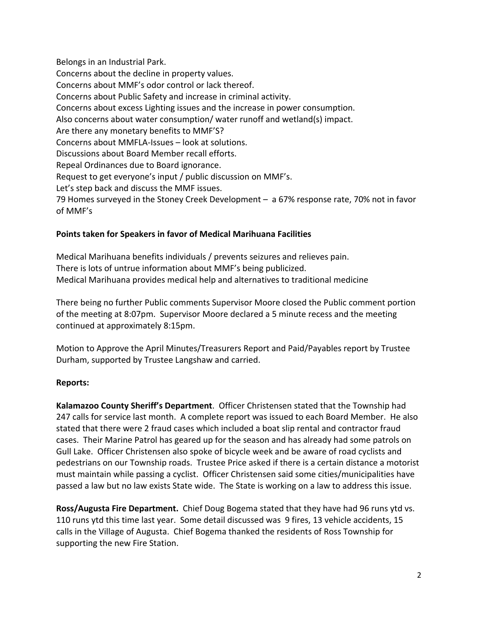Belongs in an Industrial Park. Concerns about the decline in property values. Concerns about MMF's odor control or lack thereof. Concerns about Public Safety and increase in criminal activity. Concerns about excess Lighting issues and the increase in power consumption. Also concerns about water consumption/ water runoff and wetland(s) impact. Are there any monetary benefits to MMF'S? Concerns about MMFLA‐Issues – look at solutions. Discussions about Board Member recall efforts. Repeal Ordinances due to Board ignorance. Request to get everyone's input / public discussion on MMF's. Let's step back and discuss the MMF issues. 79 Homes surveyed in the Stoney Creek Development – a 67% response rate, 70% not in favor of MMF's

## **Points taken for Speakers in favor of Medical Marihuana Facilities**

Medical Marihuana benefits individuals / prevents seizures and relieves pain. There is lots of untrue information about MMF's being publicized. Medical Marihuana provides medical help and alternatives to traditional medicine

There being no further Public comments Supervisor Moore closed the Public comment portion of the meeting at 8:07pm. Supervisor Moore declared a 5 minute recess and the meeting continued at approximately 8:15pm.

Motion to Approve the April Minutes/Treasurers Report and Paid/Payables report by Trustee Durham, supported by Trustee Langshaw and carried.

# **Reports:**

**Kalamazoo County Sheriff's Department**. Officer Christensen stated that the Township had 247 calls for service last month. A complete report was issued to each Board Member. He also stated that there were 2 fraud cases which included a boat slip rental and contractor fraud cases. Their Marine Patrol has geared up for the season and has already had some patrols on Gull Lake. Officer Christensen also spoke of bicycle week and be aware of road cyclists and pedestrians on our Township roads. Trustee Price asked if there is a certain distance a motorist must maintain while passing a cyclist. Officer Christensen said some cities/municipalities have passed a law but no law exists State wide. The State is working on a law to address this issue.

**Ross/Augusta Fire Department.** Chief Doug Bogema stated that they have had 96 runs ytd vs. 110 runs ytd this time last year. Some detail discussed was 9 fires, 13 vehicle accidents, 15 calls in the Village of Augusta. Chief Bogema thanked the residents of Ross Township for supporting the new Fire Station.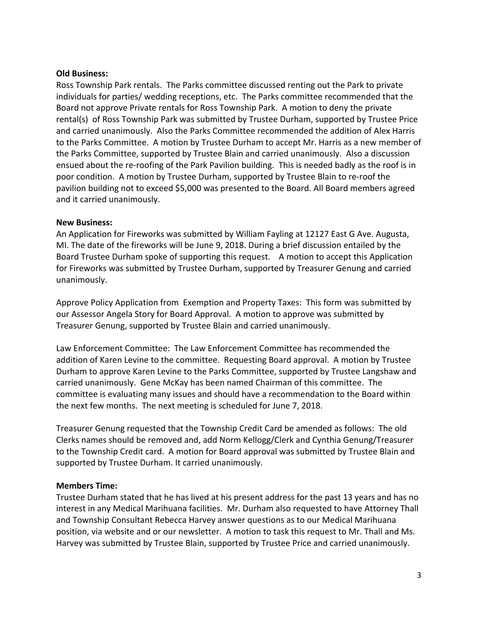#### **Old Business:**

Ross Township Park rentals. The Parks committee discussed renting out the Park to private individuals for parties/ wedding receptions, etc. The Parks committee recommended that the Board not approve Private rentals for Ross Township Park. A motion to deny the private rental(s) of Ross Township Park was submitted by Trustee Durham, supported by Trustee Price and carried unanimously. Also the Parks Committee recommended the addition of Alex Harris to the Parks Committee. A motion by Trustee Durham to accept Mr. Harris as a new member of the Parks Committee, supported by Trustee Blain and carried unanimously. Also a discussion ensued about the re‐roofing of the Park Pavilion building. This is needed badly as the roof is in poor condition. A motion by Trustee Durham, supported by Trustee Blain to re‐roof the pavilion building not to exceed \$5,000 was presented to the Board. All Board members agreed and it carried unanimously.

#### **New Business:**

An Application for Fireworks was submitted by William Fayling at 12127 East G Ave. Augusta, MI. The date of the fireworks will be June 9, 2018. During a brief discussion entailed by the Board Trustee Durham spoke of supporting this request. A motion to accept this Application for Fireworks was submitted by Trustee Durham, supported by Treasurer Genung and carried unanimously.

Approve Policy Application from Exemption and Property Taxes: This form was submitted by our Assessor Angela Story for Board Approval. A motion to approve was submitted by Treasurer Genung, supported by Trustee Blain and carried unanimously.

Law Enforcement Committee: The Law Enforcement Committee has recommended the addition of Karen Levine to the committee. Requesting Board approval. A motion by Trustee Durham to approve Karen Levine to the Parks Committee, supported by Trustee Langshaw and carried unanimously. Gene McKay has been named Chairman of this committee. The committee is evaluating many issues and should have a recommendation to the Board within the next few months. The next meeting is scheduled for June 7, 2018.

Treasurer Genung requested that the Township Credit Card be amended as follows: The old Clerks names should be removed and, add Norm Kellogg/Clerk and Cynthia Genung/Treasurer to the Township Credit card. A motion for Board approval was submitted by Trustee Blain and supported by Trustee Durham. It carried unanimously.

### **Members Time:**

Trustee Durham stated that he has lived at his present address for the past 13 years and has no interest in any Medical Marihuana facilities. Mr. Durham also requested to have Attorney Thall and Township Consultant Rebecca Harvey answer questions as to our Medical Marihuana position, via website and or our newsletter. A motion to task this request to Mr. Thall and Ms. Harvey was submitted by Trustee Blain, supported by Trustee Price and carried unanimously.